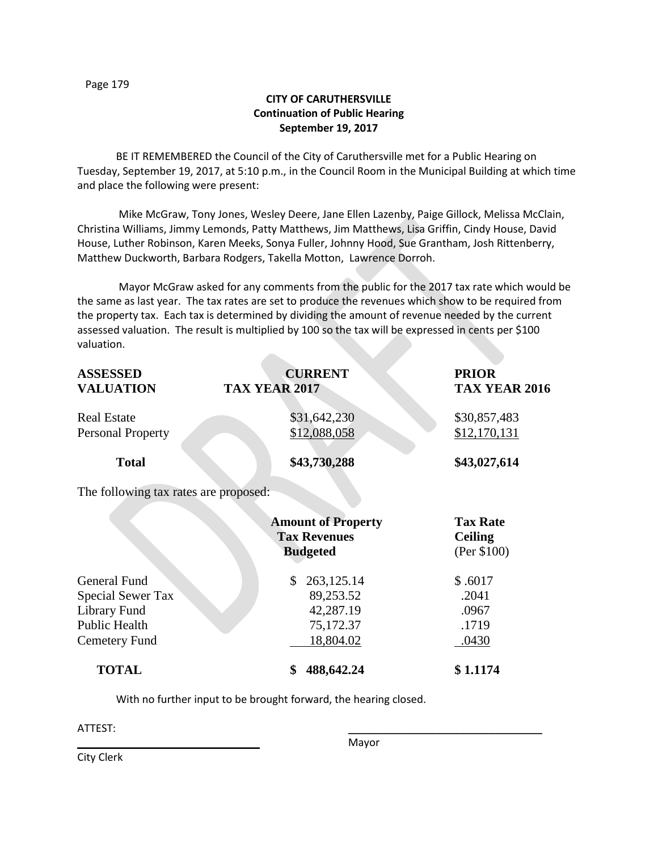# **CITY OF CARUTHERSVILLE Continuation of Public Hearing September 19, 2017**

BE IT REMEMBERED the Council of the City of Caruthersville met for a Public Hearing on Tuesday, September 19, 2017, at 5:10 p.m., in the Council Room in the Municipal Building at which time and place the following were present:

Mike McGraw, Tony Jones, Wesley Deere, Jane Ellen Lazenby, Paige Gillock, Melissa McClain, Christina Williams, Jimmy Lemonds, Patty Matthews, Jim Matthews, Lisa Griffin, Cindy House, David House, Luther Robinson, Karen Meeks, Sonya Fuller, Johnny Hood, Sue Grantham, Josh Rittenberry, Matthew Duckworth, Barbara Rodgers, Takella Motton, Lawrence Dorroh.

Mayor McGraw asked for any comments from the public for the 2017 tax rate which would be the same as last year. The tax rates are set to produce the revenues which show to be required from the property tax. Each tax is determined by dividing the amount of revenue needed by the current assessed valuation. The result is multiplied by 100 so the tax will be expressed in cents per \$100 valuation.

| <b>ASSESSED</b><br><b>VALUATION</b>            | <b>CURRENT</b><br><b>TAX YEAR 2017</b>                              | <b>PRIOR</b><br>TAX YEAR 2016                    |  |
|------------------------------------------------|---------------------------------------------------------------------|--------------------------------------------------|--|
| <b>Real Estate</b><br><b>Personal Property</b> | \$31,642,230<br>\$12,088,058                                        | \$30,857,483<br>\$12,170,131                     |  |
|                                                |                                                                     |                                                  |  |
| <b>Total</b>                                   | \$43,730,288                                                        | \$43,027,614                                     |  |
| The following tax rates are proposed:          |                                                                     |                                                  |  |
|                                                | <b>Amount of Property</b><br><b>Tax Revenues</b><br><b>Budgeted</b> | <b>Tax Rate</b><br><b>Ceiling</b><br>(Per \$100) |  |
| General Fund                                   | 263,125.14<br>\$                                                    | \$.6017                                          |  |
| Special Sewer Tax                              | 89,253.52                                                           | .2041                                            |  |
| Library Fund                                   | 42,287.19                                                           | .0967                                            |  |
| <b>Public Health</b>                           | 75,172.37                                                           | .1719                                            |  |
| Cemetery Fund                                  | 18,804.02                                                           | .0430                                            |  |
| <b>TOTAL</b>                                   | \$<br>488,642.24                                                    | \$1.1174                                         |  |

With no further input to be brought forward, the hearing closed.

ATTEST: \_\_\_\_\_\_\_\_\_\_\_\_\_\_\_\_\_\_\_\_\_\_\_\_\_\_\_\_\_\_\_\_\_

City Clerk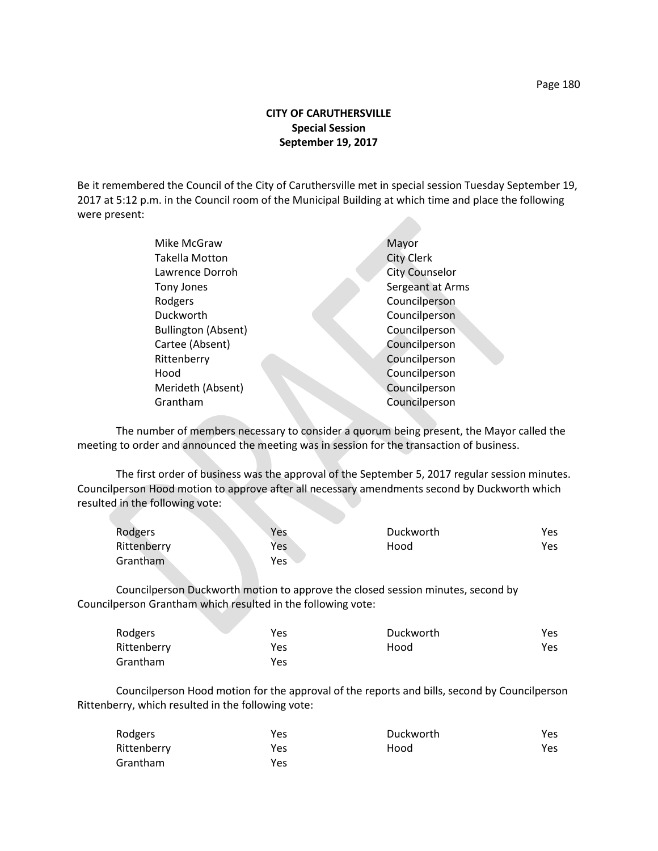## **CITY OF CARUTHERSVILLE Special Session September 19, 2017**

Be it remembered the Council of the City of Caruthersville met in special session Tuesday September 19, 2017 at 5:12 p.m. in the Council room of the Municipal Building at which time and place the following were present:

| Mike McGraw                | Mayor                 |
|----------------------------|-----------------------|
| <b>Takella Motton</b>      | <b>City Clerk</b>     |
| Lawrence Dorroh            | <b>City Counselor</b> |
| Tony Jones                 | Sergeant at Arms      |
| Rodgers                    | Councilperson         |
| Duckworth                  | Councilperson         |
| <b>Bullington (Absent)</b> | Councilperson         |
| Cartee (Absent)            | Councilperson         |
| Rittenberry                | Councilperson         |
| Hood                       | Councilperson         |
| Merideth (Absent)          | Councilperson         |
| Grantham                   | Councilperson         |
|                            |                       |

The number of members necessary to consider a quorum being present, the Mayor called the meeting to order and announced the meeting was in session for the transaction of business.

The first order of business was the approval of the September 5, 2017 regular session minutes. Councilperson Hood motion to approve after all necessary amendments second by Duckworth which resulted in the following vote:

| Rodgers     | Yes        | Duckworth | Yes. |
|-------------|------------|-----------|------|
| Rittenberry | <b>Yes</b> | Hood      | Yes  |
| Grantham    | Yes        |           |      |

Councilperson Duckworth motion to approve the closed session minutes, second by Councilperson Grantham which resulted in the following vote:

| Rodgers     | Yes | Duckworth | Yes  |
|-------------|-----|-----------|------|
| Rittenberry | Yes | Hood      | Yes. |
| Grantham    | Yes |           |      |

Councilperson Hood motion for the approval of the reports and bills, second by Councilperson Rittenberry, which resulted in the following vote:

| Rodgers     | Yes | Duckworth | Yes  |
|-------------|-----|-----------|------|
| Rittenberry | Yes | Hood      | Yes. |
| Grantham    | Yes |           |      |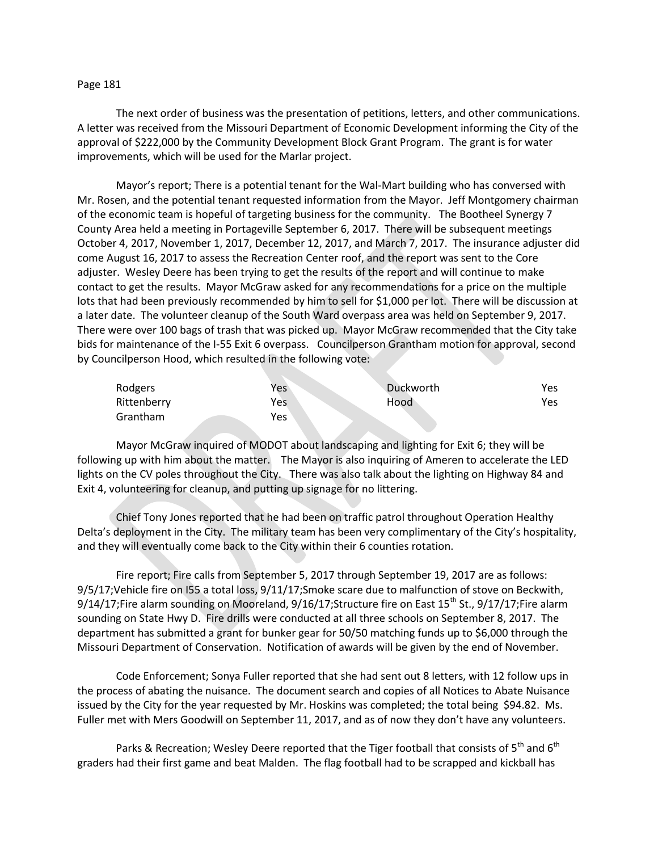### Page 181

The next order of business was the presentation of petitions, letters, and other communications. A letter was received from the Missouri Department of Economic Development informing the City of the approval of \$222,000 by the Community Development Block Grant Program. The grant is for water improvements, which will be used for the Marlar project.

Mayor's report; There is a potential tenant for the Wal-Mart building who has conversed with Mr. Rosen, and the potential tenant requested information from the Mayor. Jeff Montgomery chairman of the economic team is hopeful of targeting business for the community. The Bootheel Synergy 7 County Area held a meeting in Portageville September 6, 2017. There will be subsequent meetings October 4, 2017, November 1, 2017, December 12, 2017, and March 7, 2017. The insurance adjuster did come August 16, 2017 to assess the Recreation Center roof, and the report was sent to the Core adjuster. Wesley Deere has been trying to get the results of the report and will continue to make contact to get the results. Mayor McGraw asked for any recommendations for a price on the multiple lots that had been previously recommended by him to sell for \$1,000 per lot. There will be discussion at a later date. The volunteer cleanup of the South Ward overpass area was held on September 9, 2017. There were over 100 bags of trash that was picked up. Mayor McGraw recommended that the City take bids for maintenance of the I-55 Exit 6 overpass. Councilperson Grantham motion for approval, second by Councilperson Hood, which resulted in the following vote:

| Rodgers     | Yes | Duckworth | Yes |
|-------------|-----|-----------|-----|
| Rittenberry | Yes | Hood      | Yes |
| Grantham    | Yes |           |     |

Mayor McGraw inquired of MODOT about landscaping and lighting for Exit 6; they will be following up with him about the matter. The Mayor is also inquiring of Ameren to accelerate the LED lights on the CV poles throughout the City. There was also talk about the lighting on Highway 84 and Exit 4, volunteering for cleanup, and putting up signage for no littering.

Chief Tony Jones reported that he had been on traffic patrol throughout Operation Healthy Delta's deployment in the City. The military team has been very complimentary of the City's hospitality, and they will eventually come back to the City within their 6 counties rotation.

Fire report; Fire calls from September 5, 2017 through September 19, 2017 are as follows: 9/5/17;Vehicle fire on I55 a total loss, 9/11/17;Smoke scare due to malfunction of stove on Beckwith, 9/14/17; Fire alarm sounding on Mooreland,  $9/16/17$ ; Structure fire on East  $15<sup>th</sup>$  St.,  $9/17/17$ ; Fire alarm sounding on State Hwy D. Fire drills were conducted at all three schools on September 8, 2017. The department has submitted a grant for bunker gear for 50/50 matching funds up to \$6,000 through the Missouri Department of Conservation. Notification of awards will be given by the end of November.

Code Enforcement; Sonya Fuller reported that she had sent out 8 letters, with 12 follow ups in the process of abating the nuisance. The document search and copies of all Notices to Abate Nuisance issued by the City for the year requested by Mr. Hoskins was completed; the total being \$94.82. Ms. Fuller met with Mers Goodwill on September 11, 2017, and as of now they don't have any volunteers.

Parks & Recreation; Wesley Deere reported that the Tiger football that consists of  $5^{th}$  and  $6^{th}$ graders had their first game and beat Malden. The flag football had to be scrapped and kickball has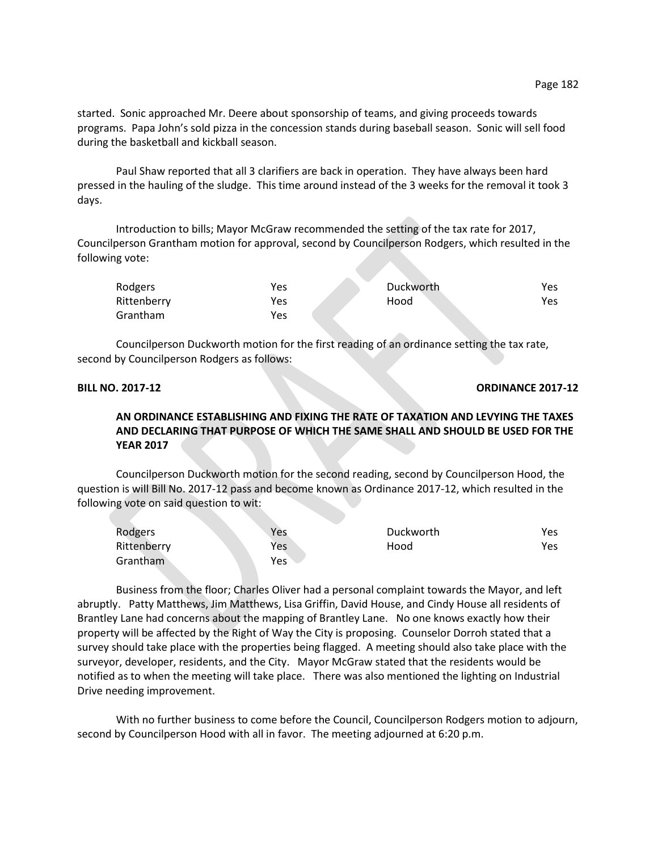started. Sonic approached Mr. Deere about sponsorship of teams, and giving proceeds towards programs. Papa John's sold pizza in the concession stands during baseball season. Sonic will sell food during the basketball and kickball season.

Paul Shaw reported that all 3 clarifiers are back in operation. They have always been hard pressed in the hauling of the sludge. This time around instead of the 3 weeks for the removal it took 3 days.

Introduction to bills; Mayor McGraw recommended the setting of the tax rate for 2017, Councilperson Grantham motion for approval, second by Councilperson Rodgers, which resulted in the following vote:

| Rodgers     | Yes        | Duckworth | Yes |
|-------------|------------|-----------|-----|
| Rittenberry | <b>Yes</b> | Hood      | Yes |
| Grantham    | Yes        |           |     |

Councilperson Duckworth motion for the first reading of an ordinance setting the tax rate, second by Councilperson Rodgers as follows:

**BILL NO. 2017-12 ORDINANCE 2017-12** 

# **AN ORDINANCE ESTABLISHING AND FIXING THE RATE OF TAXATION AND LEVYING THE TAXES AND DECLARING THAT PURPOSE OF WHICH THE SAME SHALL AND SHOULD BE USED FOR THE YEAR 2017**

Councilperson Duckworth motion for the second reading, second by Councilperson Hood, the question is will Bill No. 2017-12 pass and become known as Ordinance 2017-12, which resulted in the following vote on said question to wit:

| Rodgers     | Yes        | Duckworth | Yes  |
|-------------|------------|-----------|------|
| Rittenberry | <b>Yes</b> | Hood      | Yes. |
| Grantham    | Yes        |           |      |

Business from the floor; Charles Oliver had a personal complaint towards the Mayor, and left abruptly. Patty Matthews, Jim Matthews, Lisa Griffin, David House, and Cindy House all residents of Brantley Lane had concerns about the mapping of Brantley Lane. No one knows exactly how their property will be affected by the Right of Way the City is proposing. Counselor Dorroh stated that a survey should take place with the properties being flagged. A meeting should also take place with the surveyor, developer, residents, and the City. Mayor McGraw stated that the residents would be notified as to when the meeting will take place. There was also mentioned the lighting on Industrial Drive needing improvement.

With no further business to come before the Council, Councilperson Rodgers motion to adjourn, second by Councilperson Hood with all in favor. The meeting adjourned at 6:20 p.m.